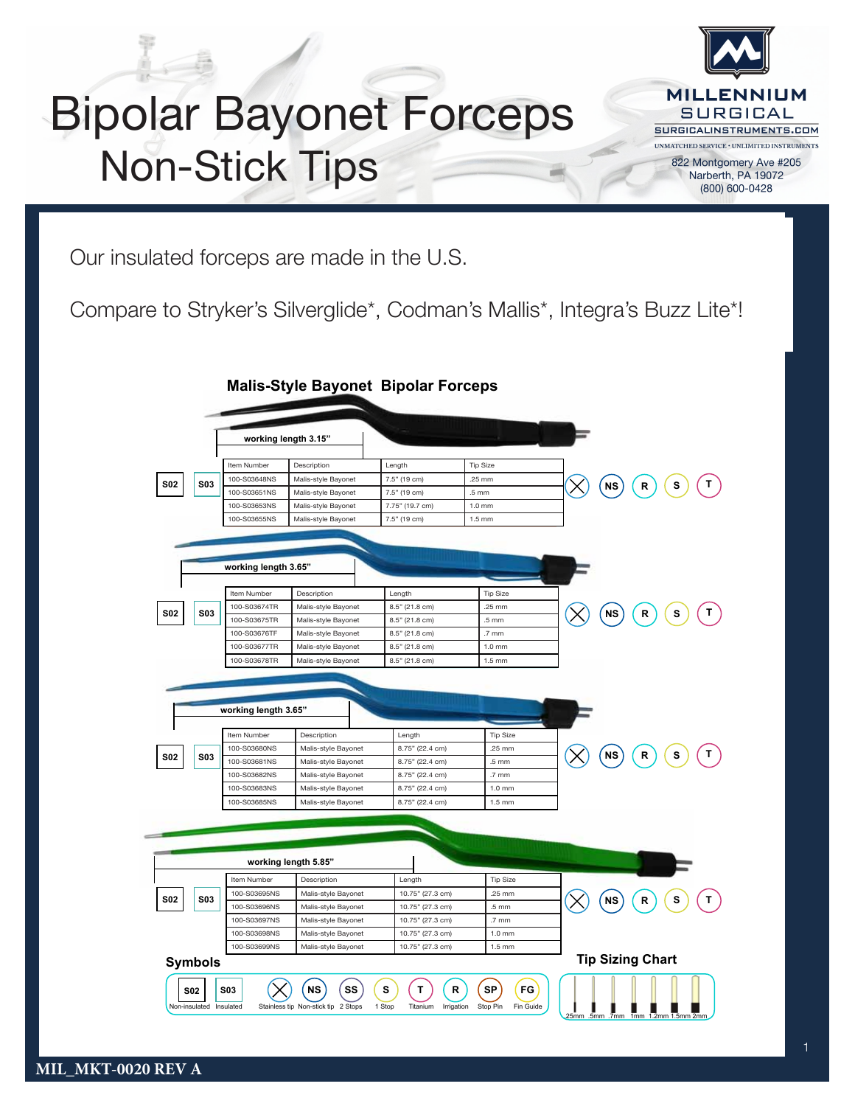## Bipolar Bayonet Forceps Non-Stick Tips

 **Malis-Style Straight Bipolar Forceps**



**Available ADD-ON**

Our insulated forceps are made in the U.S.

Compare to Stryker's Silverglide\*, Codman's Mallis\*, Integra's Buzz Lite\*!